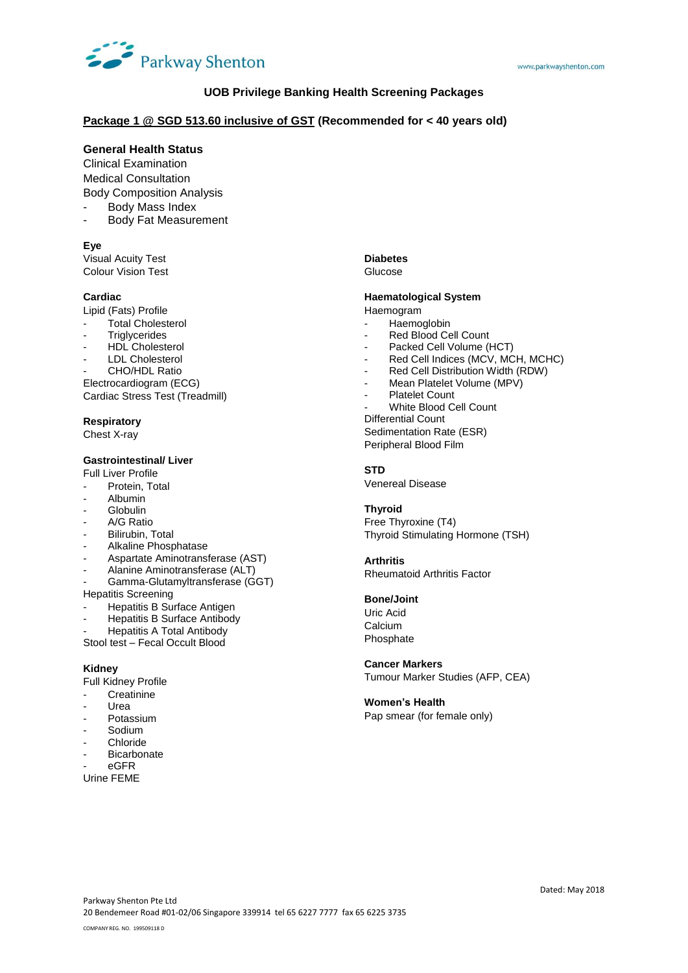

## **UOB Privilege Banking Health Screening Packages**

## **Package 1 @ SGD 513.60 inclusive of GST (Recommended for < 40 years old)**

## **General Health Status**

Clinical Examination Medical Consultation Body Composition Analysis

- Body Mass Index
- Body Fat Measurement

#### **Eye**

Visual Acuity Test Colour Vision Test

#### **Cardiac**

Lipid (Fats) Profile

- Total Cholesterol
- **Triglycerides**
- HDL Cholesterol
- LDL Cholesterol
- CHO/HDL Ratio

Electrocardiogram (ECG) Cardiac Stress Test (Treadmill)

## **Respiratory**

Chest X-ray

#### **Gastrointestinal/ Liver**

Full Liver Profile

- Protein, Total
- Albumin
- **Globulin**
- A/G Ratio
- Bilirubin, Total
- Alkaline Phosphatase
- Aspartate Aminotransferase (AST)
- Alanine Aminotransferase (ALT)
- Gamma-Glutamyltransferase (GGT)

Hepatitis Screening

- Hepatitis B Surface Antigen
- Hepatitis B Surface Antibody
- Hepatitis A Total Antibody
- Stool test Fecal Occult Blood

#### **Kidney**

Full Kidney Profile

- Creatinine
- **Urea**
- **Potassium**
- **Sodium**
- **Chloride**
- Bicarbonate
- eGFR

Urine FEME

#### **Diabetes**

Glucose

## **Haematological System**

Haemogram

- Haemoglobin
- Red Blood Cell Count
- Packed Cell Volume (HCT)
- Red Cell Indices (MCV, MCH, MCHC)
- Red Cell Distribution Width (RDW)
- Mean Platelet Volume (MPV)
- Platelet Count
- White Blood Cell Count
- Differential Count Sedimentation Rate (ESR) Peripheral Blood Film

#### **STD**

Venereal Disease

#### **Thyroid**

Free Thyroxine (T4) Thyroid Stimulating Hormone (TSH)

#### **Arthritis**

Rheumatoid Arthritis Factor

## **Bone/Joint**

Uric Acid **Calcium** Phosphate

#### **Cancer Markers**

Tumour Marker Studies (AFP, CEA)

## **Women's Health**

Pap smear (for female only)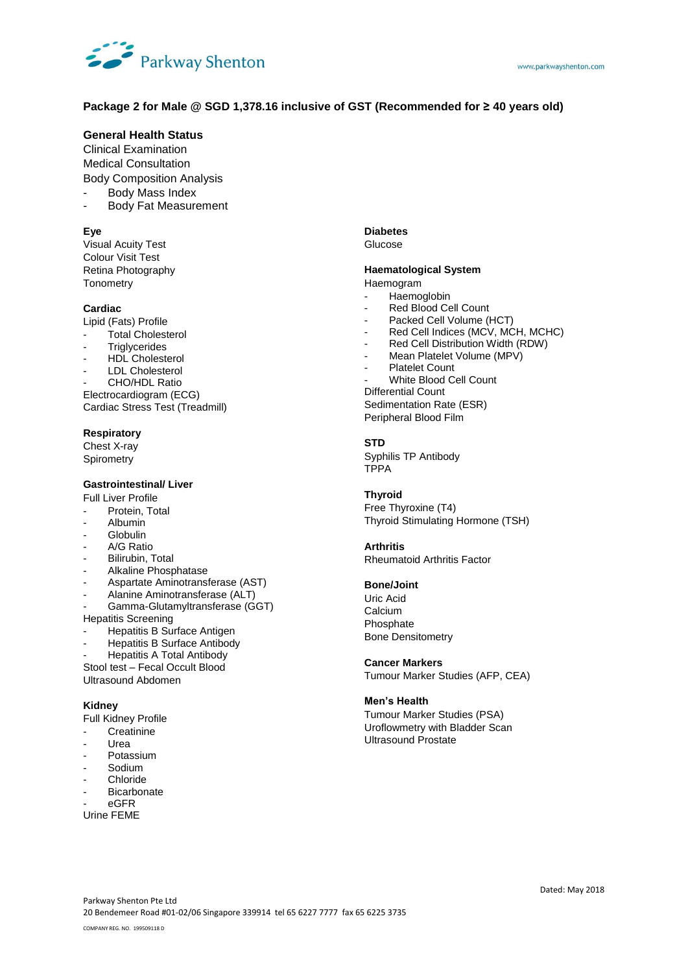

# **Package 2 for Male @ SGD 1,378.16 inclusive of GST (Recommended for ≥ 40 years old)**

# **General Health Status**

Clinical Examination Medical Consultation Body Composition Analysis

Body Mass Index

- Body Fat Measurement

## **Eye**

Visual Acuity Test Colour Visit Test Retina Photography **Tonometry** 

## **Cardiac**

Lipid (Fats) Profile

- Total Cholesterol
- **Triglycerides**
- HDL Cholesterol
- LDL Cholesterol
- CHO/HDL Ratio

Electrocardiogram (ECG) Cardiac Stress Test (Treadmill)

## **Respiratory**

Chest X-ray **Spirometry** 

## **Gastrointestinal/ Liver**

Full Liver Profile

- Protein, Total
- Albumin
- Globulin
- A/G Ratio
- Bilirubin, Total
- Alkaline Phosphatase
- Aspartate Aminotransferase (AST)
- Alanine Aminotransferase (ALT)
- Gamma-Glutamyltransferase (GGT) Hepatitis Screening
- Hepatitis B Surface Antigen
- Hepatitis B Surface Antibody
- Hepatitis A Total Antibody
- Stool test Fecal Occult Blood Ultrasound Abdomen

#### **Kidney**

Full Kidney Profile

- **Creatinine**
- Urea
- Potassium
- Sodium
- **Chloride**
- **Bicarbonate**
- eGFR
- Urine FEME

#### **Diabetes** Glucose

# **Haematological System**

Haemogram

- **Haemoglobin**
- Red Blood Cell Count
- Packed Cell Volume (HCT)
- Red Cell Indices (MCV, MCH, MCHC)
- Red Cell Distribution Width (RDW)
- Mean Platelet Volume (MPV)
- Platelet Count
- White Blood Cell Count Differential Count Sedimentation Rate (ESR)

Peripheral Blood Film

## **STD**

Syphilis TP Antibody TPPA

## **Thyroid**

Free Thyroxine (T4) Thyroid Stimulating Hormone (TSH)

#### **Arthritis**

Rheumatoid Arthritis Factor

## **Bone/Joint**

Uric Acid Calcium Phosphate Bone Densitometry

## **Cancer Markers**

Tumour Marker Studies (AFP, CEA)

## **Men's Health**

Tumour Marker Studies (PSA) Uroflowmetry with Bladder Scan Ultrasound Prostate